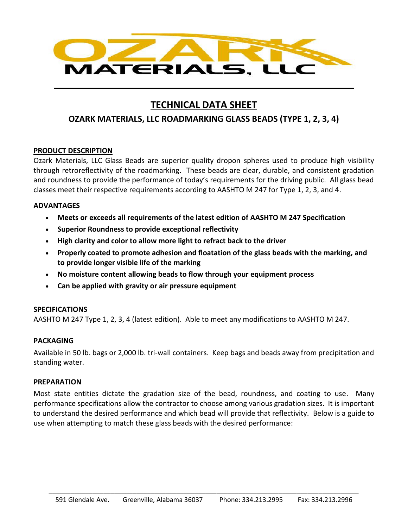

# **TECHNICAL DATA SHEET**

## **OZARK MATERIALS, LLC ROADMARKING GLASS BEADS (TYPE 1, 2, 3, 4)**

## **PRODUCT DESCRIPTION**

Ozark Materials, LLC Glass Beads are superior quality dropon spheres used to produce high visibility through retroreflectivity of the roadmarking. These beads are clear, durable, and consistent gradation and roundness to provide the performance of today's requirements for the driving public. All glass bead classes meet their respective requirements according to AASHTO M 247 for Type 1, 2, 3, and 4.

#### **ADVANTAGES**

- **Meets or exceeds all requirements of the latest edition of AASHTO M 247 Specification**
- **Superior Roundness to provide exceptional reflectivity**
- **High clarity and color to allow more light to refract back to the driver**
- **Properly coated to promote adhesion and floatation of the glass beads with the marking, and to provide longer visible life of the marking**
- **No moisture content allowing beads to flow through your equipment process**
- **Can be applied with gravity or air pressure equipment**

## **SPECIFICATIONS**

AASHTO M 247 Type 1, 2, 3, 4 (latest edition). Able to meet any modifications to AASHTO M 247.

## **PACKAGING**

Available in 50 lb. bags or 2,000 lb. tri-wall containers. Keep bags and beads away from precipitation and standing water.

## **PREPARATION**

Most state entities dictate the gradation size of the bead, roundness, and coating to use. Many performance specifications allow the contractor to choose among various gradation sizes. It is important to understand the desired performance and which bead will provide that reflectivity. Below is a guide to use when attempting to match these glass beads with the desired performance: